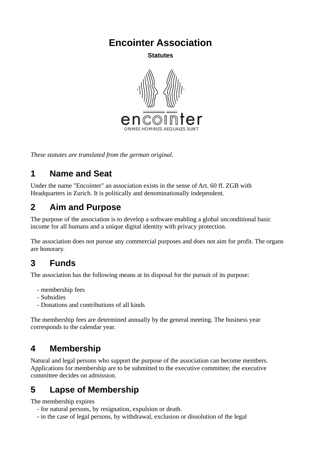**Encointer Association**

**Statutes**



*These statutes are translated from the german original.* 

#### **1 Name and Seat**

Under the name "Encointer" an association exists in the sense of Art. 60 ff. ZGB with Headquarters in Zurich. It is politically and denominationally independent.

### **2 Aim and Purpose**

The purpose of the association is to develop a software enabling a global unconditional basic income for all humans and a unique digital identity with privacy protection.

The association does not pursue any commercial purposes and does not aim for profit. The organs are honorary.

#### **3 Funds**

The association has the following means at its disposal for the pursuit of its purpose:

- membership fees
- Subsidies
- Donations and contributions of all kinds

The membership fees are determined annually by the general meeting. The business year corresponds to the calendar year.

### **4 Membership**

Natural and legal persons who support the purpose of the association can become members. Applications for membership are to be submitted to the executive committee; the executive committee decides on admission.

### **5 Lapse of Membership**

The membership expires

- for natural persons, by resignation, expulsion or death.
- in the case of legal persons, by withdrawal, exclusion or dissolution of the legal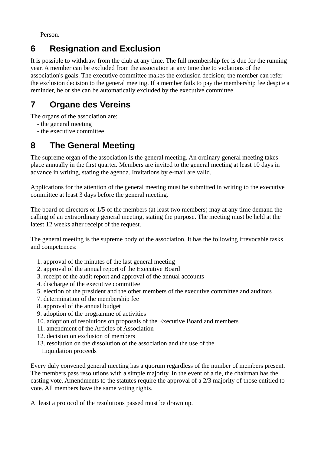Person.

## **6 Resignation and Exclusion**

It is possible to withdraw from the club at any time. The full membership fee is due for the running year. A member can be excluded from the association at any time due to violations of the association's goals. The executive committee makes the exclusion decision; the member can refer the exclusion decision to the general meeting. If a member fails to pay the membership fee despite a reminder, he or she can be automatically excluded by the executive committee.

# **7 Organe des Vereins**

The organs of the association are:

- the general meeting
- the executive committee

### **8 The General Meeting**

The supreme organ of the association is the general meeting. An ordinary general meeting takes place annually in the first quarter. Members are invited to the general meeting at least 10 days in advance in writing, stating the agenda. Invitations by e-mail are valid.

Applications for the attention of the general meeting must be submitted in writing to the executive committee at least 3 days before the general meeting.

The board of directors or 1/5 of the members (at least two members) may at any time demand the calling of an extraordinary general meeting, stating the purpose. The meeting must be held at the latest 12 weeks after receipt of the request.

The general meeting is the supreme body of the association. It has the following irrevocable tasks and competences:

- 1. approval of the minutes of the last general meeting
- 2. approval of the annual report of the Executive Board
- 3. receipt of the audit report and approval of the annual accounts
- 4. discharge of the executive committee
- 5. election of the president and the other members of the executive committee and auditors
- 7. determination of the membership fee
- 8. approval of the annual budget
- 9. adoption of the programme of activities
- 10. adoption of resolutions on proposals of the Executive Board and members
- 11. amendment of the Articles of Association
- 12. decision on exclusion of members
- 13. resolution on the dissolution of the association and the use of the Liquidation proceeds

Every duly convened general meeting has a quorum regardless of the number of members present. The members pass resolutions with a simple majority. In the event of a tie, the chairman has the casting vote. Amendments to the statutes require the approval of a 2/3 majority of those entitled to vote. All members have the same voting rights.

At least a protocol of the resolutions passed must be drawn up.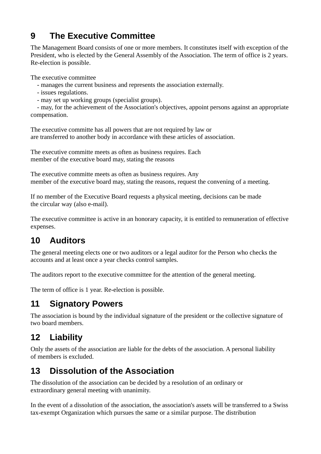## **9 The Executive Committee**

The Management Board consists of one or more members. It constitutes itself with exception of the President, who is elected by the General Assembly of the Association. The term of office is 2 years. Re-election is possible.

The executive committee

- manages the current business and represents the association externally.
- issues regulations.
- may set up working groups (specialist groups).

 - may, for the achievement of the Association's objectives, appoint persons against an appropriate compensation.

The executive committe has all powers that are not required by law or are transferred to another body in accordance with these articles of association.

The executive committe meets as often as business requires. Each member of the executive board may, stating the reasons

The executive committe meets as often as business requires. Any member of the executive board may, stating the reasons, request the convening of a meeting.

If no member of the Executive Board requests a physical meeting, decisions can be made the circular way (also e-mail).

The executive committee is active in an honorary capacity, it is entitled to remuneration of effective expenses.

## **10 Auditors**

The general meeting elects one or two auditors or a legal auditor for the Person who checks the accounts and at least once a year checks control samples.

The auditors report to the executive committee for the attention of the general meeting.

The term of office is 1 year. Re-election is possible.

#### **11 Signatory Powers**

The association is bound by the individual signature of the president or the collective signature of two board members.

### **12 Liability**

Only the assets of the association are liable for the debts of the association. A personal liability of members is excluded.

#### **13 Dissolution of the Association**

The dissolution of the association can be decided by a resolution of an ordinary or extraordinary general meeting with unanimity.

In the event of a dissolution of the association, the association's assets will be transferred to a Swiss tax-exempt Organization which pursues the same or a similar purpose. The distribution